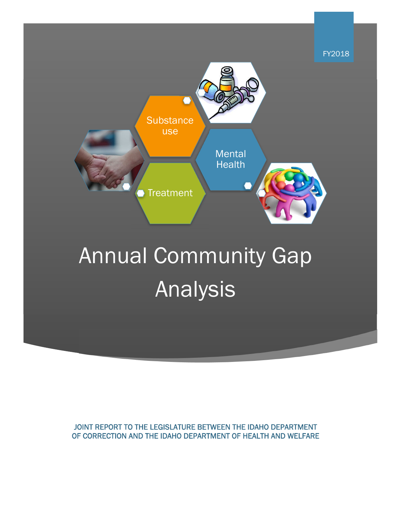

# Annual Community Gap Analysis

JOINT REPORT TO THE LEGISLATURE BETWEEN THE IDAHO DEPARTMENT OF CORRECTION AND THE IDAHO DEPARTMENT OF HEALTH AND WELFARE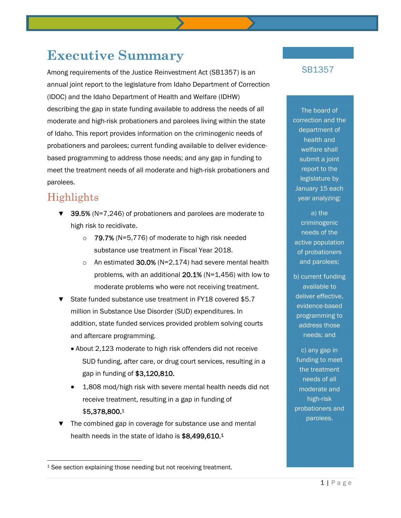## **Executive Summary**

Among requirements of the Justice Reinvestment Act (SB1357) is an annual joint report to the legislature from Idaho Department of Correction (IDOC) and the Idaho Department of Health and Welfare (IDHW) describing the gap in state funding available to address the needs of all moderate and high-risk probationers and parolees living within the state of Idaho. This report provides information on the criminogenic needs of probationers and parolees; current funding available to deliver evidencebased programming to address those needs; and any gap in funding to meet the treatment needs of all moderate and high-risk probationers and parolees.

### Highlights

l

- ▼ 39.5% (N=7,246) of probationers and parolees are moderate to high risk to recidivate.
	- $\circ$  79.7% (N=5,776) of moderate to high risk needed substance use treatment in Fiscal Year 2018.
	- o An estimated 30.0% ( $N=2,174$ ) had severe mental health problems, with an additional 20.1% (N=1,456) with low to moderate problems who were not receiving treatment.
- ▼ State funded substance use treatment in FY18 covered \$5.7 million in Substance Use Disorder (SUD) expenditures. In addition, state funded services provided problem solving courts and aftercare programming.
	- About 2,123 moderate to high risk offenders did not receive SUD funding, after care, or drug court services, resulting in a gap in funding of \$3,120,810.
	- 1,808 mod/high risk with severe mental health needs did not receive treatment, resulting in a gap in funding of \$5,378,800.1
- ▼ The combined gap in coverage for substance use and mental health needs in the state of Idaho is \$8,499,610.1

#### SB1357

The board of correction and the department of health and welfare shall submit a joint report to the legislature by January 15 each year analyzing:

a) the criminogenic needs of the active population of probationers and parolees;

b) current funding available to deliver effective, evidence-based programming to address those needs; and

c) any gap in funding to meet the treatment needs of all moderate and high-risk probationers and parolees.

<sup>&</sup>lt;sup>1</sup> See section explaining those needing but not receiving treatment.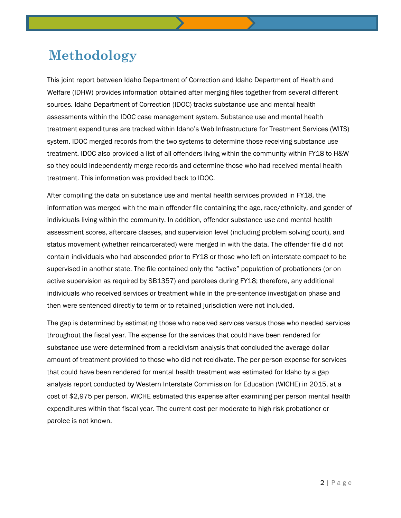# **Methodology**

This joint report between Idaho Department of Correction and Idaho Department of Health and Welfare (IDHW) provides information obtained after merging files together from several different sources. Idaho Department of Correction (IDOC) tracks substance use and mental health assessments within the IDOC case management system. Substance use and mental health treatment expenditures are tracked within Idaho's Web Infrastructure for Treatment Services (WITS) system. IDOC merged records from the two systems to determine those receiving substance use treatment. IDOC also provided a list of all offenders living within the community within FY18 to H&W so they could independently merge records and determine those who had received mental health treatment. This information was provided back to IDOC.

After compiling the data on substance use and mental health services provided in FY18, the information was merged with the main offender file containing the age, race/ethnicity, and gender of individuals living within the community. In addition, offender substance use and mental health assessment scores, aftercare classes, and supervision level (including problem solving court), and status movement (whether reincarcerated) were merged in with the data. The offender file did not contain individuals who had absconded prior to FY18 or those who left on interstate compact to be supervised in another state. The file contained only the "active" population of probationers (or on active supervision as required by SB1357) and parolees during FY18; therefore, any additional individuals who received services or treatment while in the pre-sentence investigation phase and then were sentenced directly to term or to retained jurisdiction were not included.

The gap is determined by estimating those who received services versus those who needed services throughout the fiscal year. The expense for the services that could have been rendered for substance use were determined from a recidivism analysis that concluded the average dollar amount of treatment provided to those who did not recidivate. The per person expense for services that could have been rendered for mental health treatment was estimated for Idaho by a gap analysis report conducted by Western Interstate Commission for Education (WICHE) in 2015, at a cost of \$2,975 per person. WICHE estimated this expense after examining per person mental health expenditures within that fiscal year. The current cost per moderate to high risk probationer or parolee is not known.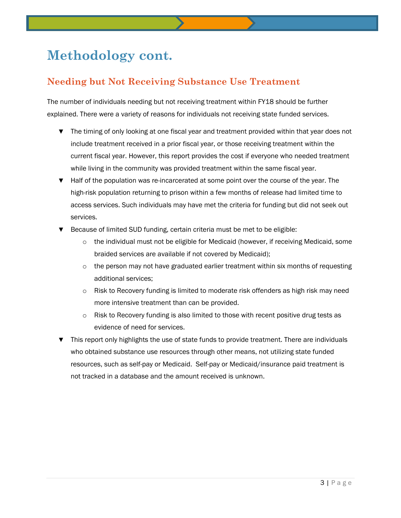# **Methodology cont.**

### **Needing but Not Receiving Substance Use Treatment**

The number of individuals needing but not receiving treatment within FY18 should be further explained. There were a variety of reasons for individuals not receiving state funded services.

- ▼ The timing of only looking at one fiscal year and treatment provided within that year does not include treatment received in a prior fiscal year, or those receiving treatment within the current fiscal year. However, this report provides the cost if everyone who needed treatment while living in the community was provided treatment within the same fiscal year.
- ▼ Half of the population was re-incarcerated at some point over the course of the year. The high-risk population returning to prison within a few months of release had limited time to access services. Such individuals may have met the criteria for funding but did not seek out services.
- ▼ Because of limited SUD funding, certain criteria must be met to be eligible:
	- $\circ$  the individual must not be eligible for Medicaid (however, if receiving Medicaid, some braided services are available if not covered by Medicaid);
	- $\circ$  the person may not have graduated earlier treatment within six months of requesting additional services;
	- $\circ$  Risk to Recovery funding is limited to moderate risk offenders as high risk may need more intensive treatment than can be provided.
	- $\circ$  Risk to Recovery funding is also limited to those with recent positive drug tests as evidence of need for services.
- This report only highlights the use of state funds to provide treatment. There are individuals who obtained substance use resources through other means, not utilizing state funded resources, such as self-pay or Medicaid. Self-pay or Medicaid/insurance paid treatment is not tracked in a database and the amount received is unknown.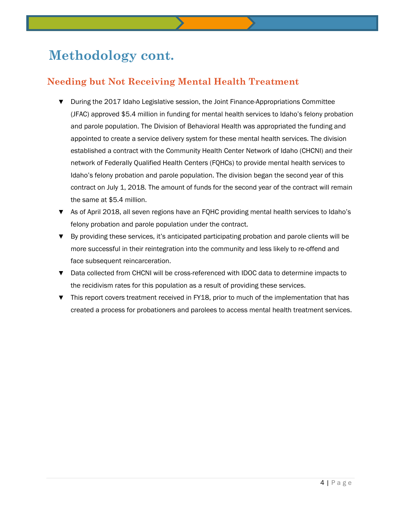# **Methodology cont.**

### **Needing but Not Receiving Mental Health Treatment**

- During the 2017 Idaho Legislative session, the Joint Finance-Appropriations Committee (JFAC) approved \$5.4 million in funding for mental health services to Idaho's felony probation and parole population. The Division of Behavioral Health was appropriated the funding and appointed to create a service delivery system for these mental health services. The division established a contract with the Community Health Center Network of Idaho (CHCNI) and their network of Federally Qualified Health Centers (FQHCs) to provide mental health services to Idaho's felony probation and parole population. The division began the second year of this contract on July 1, 2018. The amount of funds for the second year of the contract will remain the same at \$5.4 million.
- ▼ As of April 2018, all seven regions have an FQHC providing mental health services to Idaho's felony probation and parole population under the contract.
- ▼ By providing these services, it's anticipated participating probation and parole clients will be more successful in their reintegration into the community and less likely to re-offend and face subsequent reincarceration.
- ▼ Data collected from CHCNI will be cross-referenced with IDOC data to determine impacts to the recidivism rates for this population as a result of providing these services.
- ▼ This report covers treatment received in FY18, prior to much of the implementation that has created a process for probationers and parolees to access mental health treatment services.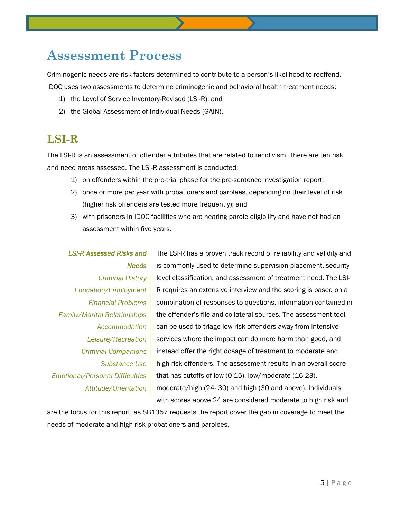# **Assessment Process**

Criminogenic needs are risk factors determined to contribute to a person's likelihood to reoffend. IDOC uses two assessments to determine criminogenic and behavioral health treatment needs:

- 1) the Level of Service Inventory-Revised (LSI-R); and
- 2) the Global Assessment of Individual Needs (GAIN).

### **LSI-R**

The LSI-R is an assessment of offender attributes that are related to recidivism. There are ten risk and need areas assessed. The LSI-R assessment is conducted:

- 1) on offenders within the pre-trial phase for the pre-sentence investigation report,
- 2) once or more per year with probationers and parolees, depending on their level of risk (higher risk offenders are tested more frequently); and
- 3) with prisoners in IDOC facilities who are nearing parole eligibility and have not had an assessment within five years.

#### *LSI-R Assessed Risks and Needs*

*Criminal History Education/Employment Financial Problems Family/Marital Relationships Accommodation Leisure/Recreation Criminal Companions Substance Use Emotional/Personal Difficulties Attitude/Orientation* 

The LSI-R has a proven track record of reliability and validity and is commonly used to determine supervision placement, security level classification, and assessment of treatment need. The LSI-R requires an extensive interview and the scoring is based on a combination of responses to questions, information contained in the offender's file and collateral sources. The assessment tool can be used to triage low risk offenders away from intensive services where the impact can do more harm than good, and instead offer the right dosage of treatment to moderate and high-risk offenders. The assessment results in an overall score that has cutoffs of low (0-15), low/moderate (16-23), moderate/high (24- 30) and high (30 and above). Individuals with scores above 24 are considered moderate to high risk and

are the focus for this report, as SB1357 requests the report cover the gap in coverage to meet the needs of moderate and high-risk probationers and parolees.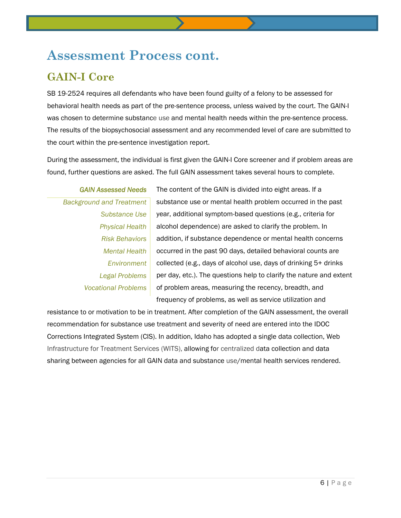# **Assessment Process cont.**

### **GAIN-I Core**

SB 19-2524 requires all defendants who have been found guilty of a felony to be assessed for behavioral health needs as part of the pre-sentence process, unless waived by the court. The GAIN-I was chosen to determine substance use and mental health needs within the pre-sentence process. The results of the biopsychosocial assessment and any recommended level of care are submitted to the court within the pre-sentence investigation report.

During the assessment, the individual is first given the GAIN-I Core screener and if problem areas are found, further questions are asked. The full GAIN assessment takes several hours to complete.

*GAIN Assessed Needs Background and Treatment Substance Use Physical Health Risk Behaviors Mental Health Environment Legal Problems Vocational Problems*

The content of the GAIN is divided into eight areas. If a substance use or mental health problem occurred in the past year, additional symptom-based questions (e.g., criteria for alcohol dependence) are asked to clarify the problem. In addition, if substance dependence or mental health concerns occurred in the past 90 days, detailed behavioral counts are collected (e.g., days of alcohol use, days of drinking 5+ drinks per day, etc.). The questions help to clarify the nature and extent of problem areas, measuring the recency, breadth, and frequency of problems, as well as service utilization and

resistance to or motivation to be in treatment. After completion of the GAIN assessment, the overall recommendation for substance use treatment and severity of need are entered into the IDOC Corrections Integrated System (CIS). In addition, Idaho has adopted a single data collection, Web Infrastructure for Treatment Services (WITS), allowing for centralized data collection and data sharing between agencies for all GAIN data and substance use/mental health services rendered.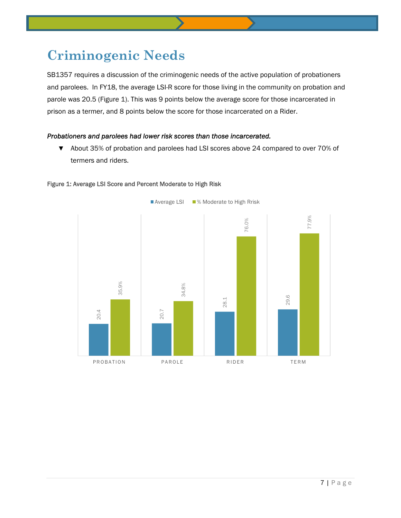# **Criminogenic Needs**

SB1357 requires a discussion of the criminogenic needs of the active population of probationers and parolees. In FY18, the average LSI-R score for those living in the community on probation and parole was 20.5 (Figure 1). This was 9 points below the average score for those incarcerated in prison as a termer, and 8 points below the score for those incarcerated on a Rider.

#### *Probationers and parolees had lower risk scores than those incarcerated.*

▼ About 35% of probation and parolees had LSI scores above 24 compared to over 70% of termers and riders.



#### Figure 1: Average LSI Score and Percent Moderate to High Risk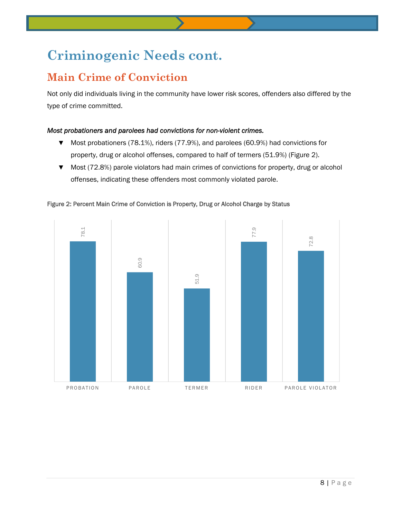# **Criminogenic Needs cont.**

### **Main Crime of Conviction**

Not only did individuals living in the community have lower risk scores, offenders also differed by the type of crime committed.

#### *Most probationers and parolees had convictions for non-violent crimes.*

- ▼ Most probationers (78.1%), riders (77.9%), and parolees (60.9%) had convictions for property, drug or alcohol offenses, compared to half of termers (51.9%) (Figure 2).
- ▼ Most (72.8%) parole violators had main crimes of convictions for property, drug or alcohol offenses, indicating these offenders most commonly violated parole.



Figure 2: Percent Main Crime of Conviction is Property, Drug or Alcohol Charge by Status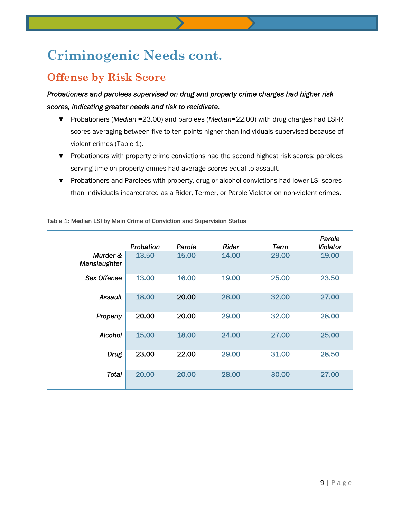# **Criminogenic Needs cont.**

### **Offense by Risk Score**

*Probationers and parolees supervised on drug and property crime charges had higher risk scores, indicating greater needs and risk to recidivate.* 

- ▼ Probationers (*Median* =23.00) and parolees (*Median*=22.00) with drug charges had LSI-R scores averaging between five to ten points higher than individuals supervised because of violent crimes (Table 1).
- ▼ Probationers with property crime convictions had the second highest risk scores; parolees serving time on property crimes had average scores equal to assault.
- ▼ Probationers and Parolees with property, drug or alcohol convictions had lower LSI scores than individuals incarcerated as a Rider, Termer, or Parole Violator on non-violent crimes.

|                          | Probation | Parole | Rider | Term  | Parole<br>Violator |
|--------------------------|-----------|--------|-------|-------|--------------------|
| Murder &<br>Manslaughter | 13.50     | 15.00  | 14.00 | 29.00 | 19.00              |
| Sex Offense              | 13.00     | 16.00  | 19.00 | 25.00 | 23.50              |
| Assault                  | 18.00     | 20.00  | 28.00 | 32.00 | 27.00              |
| Property                 | 20.00     | 20.00  | 29.00 | 32.00 | 28.00              |
| <b>Alcohol</b>           | 15.00     | 18.00  | 24.00 | 27.00 | 25.00              |
| <b>Drug</b>              | 23.00     | 22.00  | 29.00 | 31.00 | 28.50              |
| Total                    | 20.00     | 20.00  | 28.00 | 30.00 | 27.00              |

Table 1: Median LSI by Main Crime of Conviction and Supervision Status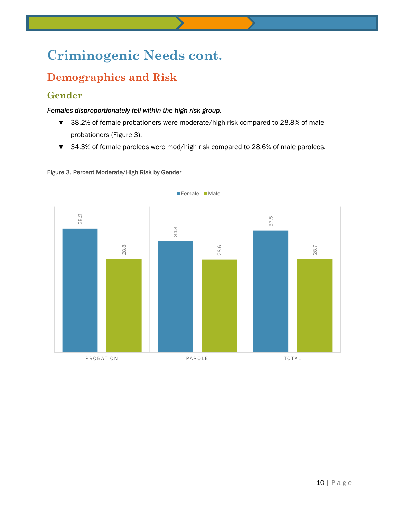# **Criminogenic Needs cont.**

### **Demographics and Risk**

### **Gender**

#### *Females disproportionately fell within the high-risk group.*

- ▼ 38.2% of female probationers were moderate/high risk compared to 28.8% of male probationers (Figure 3).
- ▼ 34.3% of female parolees were mod/high risk compared to 28.6% of male parolees.



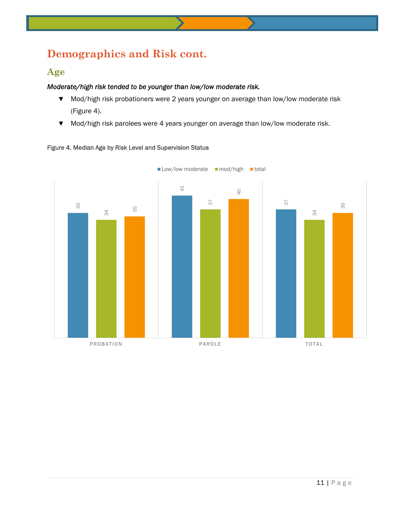### **Demographics and Risk cont.**

#### **Age**

#### *Moderate/high risk tended to be younger than low/low moderate risk.*

- ▼ Mod/high risk probationers were 2 years younger on average than low/low moderate risk (Figure 4).
- ▼ Mod/high risk parolees were 4 years younger on average than low/low moderate risk.



#### Figure 4. Median Age by Risk Level and Supervision Status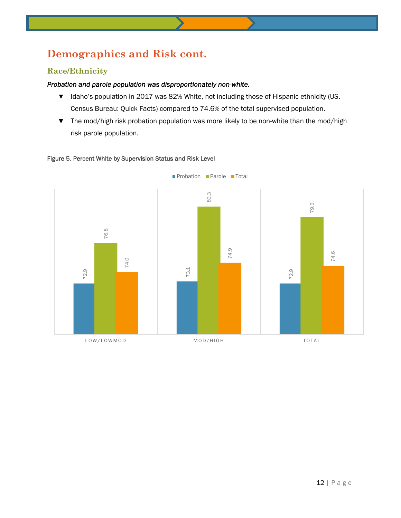### **Demographics and Risk cont.**

#### **Race/Ethnicity**

#### *Probation and parole population was disproportionately non-white.*

- ▼ Idaho's population in 2017 was 82% White, not including those of Hispanic ethnicity (US. Census Bureau: Quick Facts) compared to 74.6% of the total supervised population.
- ▼ The mod/high risk probation population was more likely to be non-white than the mod/high risk parole population.

#### Figure 5. Percent White by Supervision Status and Risk Level

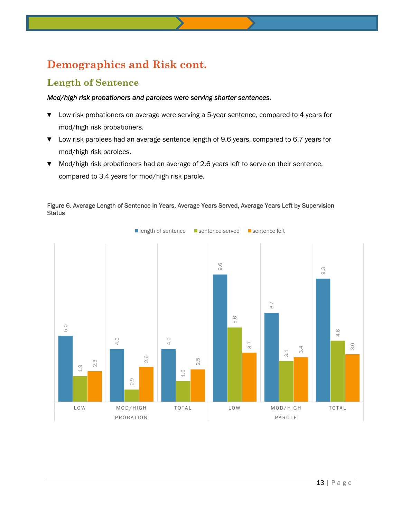### **Demographics and Risk cont.**

### **Length of Sentence**

#### *Mod/high risk probationers and parolees were serving shorter sentences.*

- ▼ Low risk probationers on average were serving a 5-year sentence, compared to 4 years for mod/high risk probationers.
- ▼ Low risk parolees had an average sentence length of 9.6 years, compared to 6.7 years for mod/high risk parolees.
- ▼ Mod/high risk probationers had an average of 2.6 years left to serve on their sentence, compared to 3.4 years for mod/high risk parole.



#### Figure 6. Average Length of Sentence in Years, Average Years Served, Average Years Left by Supervision **Status**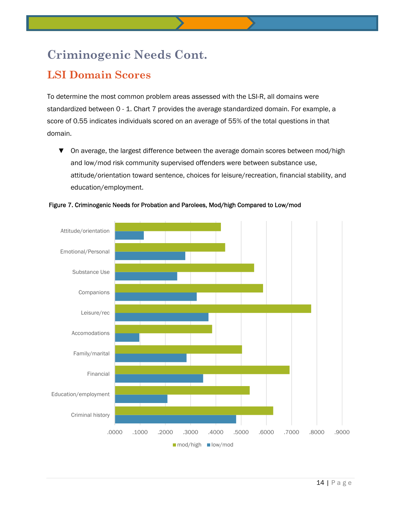# **Criminogenic Needs Cont.**

### **LSI Domain Scores**

To determine the most common problem areas assessed with the LSI-R, all domains were standardized between 0 - 1. Chart 7 provides the average standardized domain. For example, a score of 0.55 indicates individuals scored on an average of 55% of the total questions in that domain.

▼ On average, the largest difference between the average domain scores between mod/high and low/mod risk community supervised offenders were between substance use, attitude/orientation toward sentence, choices for leisure/recreation, financial stability, and education/employment.



Figure 7. Criminogenic Needs for Probation and Parolees, Mod/high Compared to Low/mod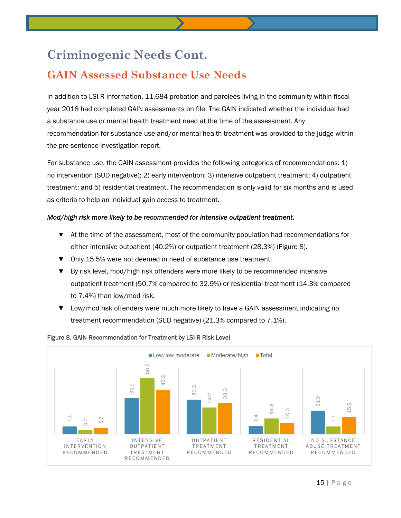### **Criminogenic Needs Cont.**

### **GAIN Assessed Substance Use Needs**

In addition to LSI-R information, 11,684 probation and parolees living in the community within fiscal year 2018 had completed GAIN assessments on file. The GAIN indicated whether the individual had a substance use or mental health treatment need at the time of the assessment. Any recommendation for substance use and/or mental health treatment was provided to the judge within the pre-sentence investigation report.

For substance use, the GAIN assessment provides the following categories of recommendations: 1) no intervention (SUD negative); 2) early intervention; 3) intensive outpatient treatment; 4) outpatient treatment; and 5) residential treatment. The recommendation is only valid for six months and is used as criteria to help an individual gain access to treatment.

#### *Mod/high risk more likely to be recommended for intensive outpatient treatment.*

- ▼ At the time of the assessment, most of the community population had recommendations for either intensive outpatient (40.2%) or outpatient treatment (28.3%) (Figure 8).
- ▼ Only 15.5% were not deemed in need of substance use treatment.
- ▼ By risk level, mod/high risk offenders were more likely to be recommended intensive outpatient treatment (50.7% compared to 32.9%) or residential treatment (14.3% compared to 7.4%) than low/mod risk.
- ▼ Low/mod risk offenders were much more likely to have a GAIN assessment indicating no treatment recommendation (SUD negative) (21.3% compared to 7.1%).



#### Figure 8. GAIN Recommendation for Treatment by LSI-R Risk Level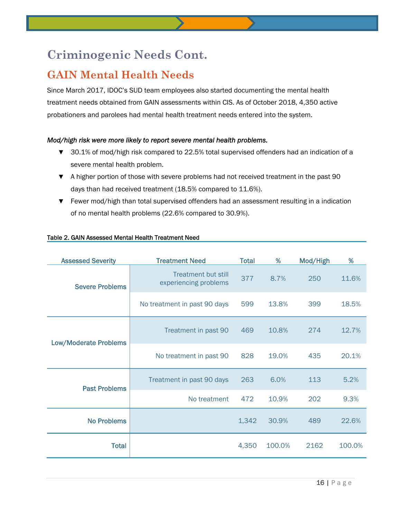### **Criminogenic Needs Cont.**

### **GAIN Mental Health Needs**

Since March 2017, IDOC's SUD team employees also started documenting the mental health treatment needs obtained from GAIN assessments within CIS. As of October 2018, 4,350 active probationers and parolees had mental health treatment needs entered into the system.

#### *Mod/high risk were more likely to report severe mental health problems.*

- ▼ 30.1% of mod/high risk compared to 22.5% total supervised offenders had an indication of a severe mental health problem.
- ▼ A higher portion of those with severe problems had not received treatment in the past 90 days than had received treatment (18.5% compared to 11.6%).
- ▼ Fewer mod/high than total supervised offenders had an assessment resulting in a indication of no mental health problems (22.6% compared to 30.9%).

| <b>Assessed Severity</b>     | <b>Treatment Need</b>                               | <b>Total</b> | %      | Mod/High | %      |
|------------------------------|-----------------------------------------------------|--------------|--------|----------|--------|
| <b>Severe Problems</b>       | <b>Treatment but still</b><br>experiencing problems | 377          | 8.7%   | 250      | 11.6%  |
|                              | No treatment in past 90 days                        | 599          | 13.8%  | 399      | 18.5%  |
| <b>Low/Moderate Problems</b> | Treatment in past 90                                | 469          | 10.8%  | 274      | 12.7%  |
|                              | No treatment in past 90                             | 828          | 19.0%  | 435      | 20.1%  |
| <b>Past Problems</b>         | Treatment in past 90 days                           | 263          | 6.0%   | 113      | 5.2%   |
|                              | No treatment                                        | 472          | 10.9%  | 202      | 9.3%   |
| <b>No Problems</b>           |                                                     | 1,342        | 30.9%  | 489      | 22.6%  |
| <b>Total</b>                 |                                                     | 4,350        | 100.0% | 2162     | 100.0% |

#### Table 2. GAIN Assessed Mental Health Treatment Need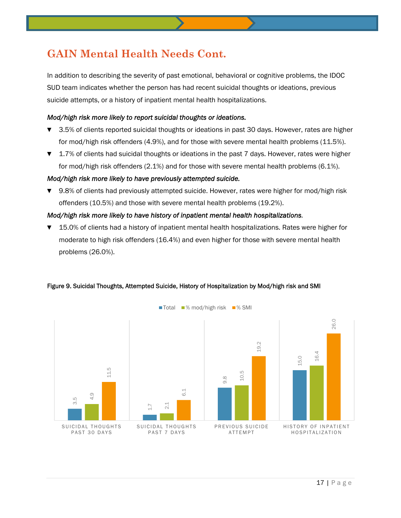### **GAIN Mental Health Needs Cont.**

In addition to describing the severity of past emotional, behavioral or cognitive problems, the IDOC SUD team indicates whether the person has had recent suicidal thoughts or ideations, previous suicide attempts, or a history of inpatient mental health hospitalizations.

#### *Mod/high risk more likely to report suicidal thoughts or ideations.*

- ▼ 3.5% of clients reported suicidal thoughts or ideations in past 30 days. However, rates are higher for mod/high risk offenders (4.9%), and for those with severe mental health problems (11.5%).
- ▼ 1.7% of clients had suicidal thoughts or ideations in the past 7 days. However, rates were higher for mod/high risk offenders (2.1%) and for those with severe mental health problems (6.1%).

#### *Mod/high risk more likely to have previously attempted suicide.*

▼ 9.8% of clients had previously attempted suicide. However, rates were higher for mod/high risk offenders (10.5%) and those with severe mental health problems (19.2%).

#### *Mod/high risk more likely to have history of inpatient mental health hospitalizations.*

15.0% of clients had a history of inpatient mental health hospitalizations. Rates were higher for moderate to high risk offenders (16.4%) and even higher for those with severe mental health problems (26.0%).



#### Figure 9. Suicidal Thoughts, Attempted Suicide, History of Hospitalization by Mod/high risk and SMI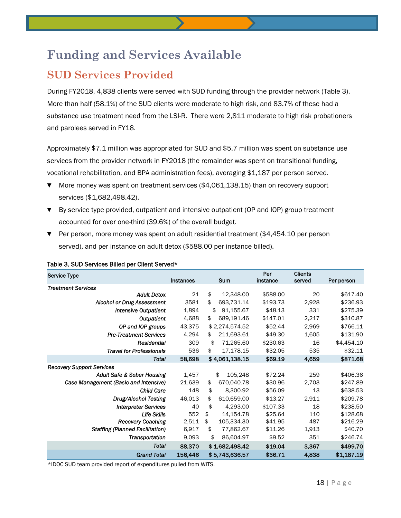### **SUD Services Provided**

During FY2018, 4,838 clients were served with SUD funding through the provider network (Table 3). More than half (58.1%) of the SUD clients were moderate to high risk, and 83.7% of these had a substance use treatment need from the LSI-R. There were 2,811 moderate to high risk probationers and parolees served in FY18.

Approximately \$7.1 million was appropriated for SUD and \$5.7 million was spent on substance use services from the provider network in FY2018 (the remainder was spent on transitional funding, vocational rehabilitation, and BPA administration fees), averaging \$1,187 per person served.

- ▼ More money was spent on treatment services (\$4,061,138.15) than on recovery support services (\$1,682,498.42).
- ▼ By service type provided, outpatient and intensive outpatient (OP and IOP) group treatment accounted for over one-third (39.6%) of the overall budget.
- ▼ Per person, more money was spent on adult residential treatment (\$4,454.10 per person served), and per instance on adult detox (\$588.00 per instance billed).

| <b>Service Type</b>                    |                  |                  | Per      | <b>Clients</b> |            |
|----------------------------------------|------------------|------------------|----------|----------------|------------|
|                                        | <b>Instances</b> | <b>Sum</b>       | instance | served         | Per person |
| <b>Treatment Services</b>              |                  |                  |          |                |            |
| <b>Adult Detox</b>                     | 21               | \$<br>12,348.00  | \$588.00 | 20             | \$617.40   |
| <b>Alcohol or Drug Assessment</b>      | 3581             | \$<br>693,731.14 | \$193.73 | 2,928          | \$236.93   |
| Intensive Outpatient                   | 1,894            | \$<br>91,155.67  | \$48.13  | 331            | \$275.39   |
| <b>Outpatient</b>                      | 4,688            | 689,191.46<br>\$ | \$147.01 | 2,217          | \$310.87   |
| OP and IOP groups                      | 43,375           | \$2,274,574.52   | \$52.44  | 2,969          | \$766.11   |
| <b>Pre-Treatment Services</b>          | 4,294            | \$<br>211,693.61 | \$49.30  | 1,605          | \$131.90   |
| Residential                            | 309              | 71,265.60<br>\$  | \$230.63 | 16             | \$4,454.10 |
| <b>Travel for Professionals</b>        | 536              | \$<br>17,178.15  | \$32.05  | 535            | \$32.11    |
| Total                                  | 58,698           | \$4,061,138.15   | \$69.19  | 4,659          | \$871.68   |
| <b>Recovery Support Services</b>       |                  |                  |          |                |            |
| Adult Safe & Sober Housing             | 1,457            | \$<br>105,248    | \$72.24  | 259            | \$406.36   |
| Case Management (Basic and Intensive)  | 21,639           | \$<br>670,040.78 | \$30.96  | 2,703          | \$247.89   |
| <b>Child Care</b>                      | 148              | \$<br>8,300.92   | \$56.09  | 13             | \$638.53   |
| Drug/Alcohol Testing                   | 46,013           | \$<br>610,659.00 | \$13.27  | 2,911          | \$209.78   |
| <b>Interpreter Services</b>            | 40               | \$<br>4,293.00   | \$107.33 | 18             | \$238.50   |
| <b>Life Skills</b>                     | 552              | \$<br>14,154.78  | \$25.64  | 110            | \$128.68   |
| Recovery Coaching                      | 2,511            | \$<br>105,334.30 | \$41.95  | 487            | \$216.29   |
| <b>Staffing (Planned Facilitation)</b> | 6,917            | \$<br>77,862.67  | \$11.26  | 1,913          | \$40.70    |
| Transportation                         | 9,093            | \$<br>86,604.97  | \$9.52   | 351            | \$246.74   |
| Total                                  | 88,370           | \$1,682,498.42   | \$19.04  | 3,367          | \$499.70   |
| <b>Grand Total</b>                     | 156,446          | \$5,743,636.57   | \$36.71  | 4,838          | \$1,187.19 |

#### Table 3. SUD Services Billed per Client Served\*

\*IDOC SUD team provided report of expenditures pulled from WITS.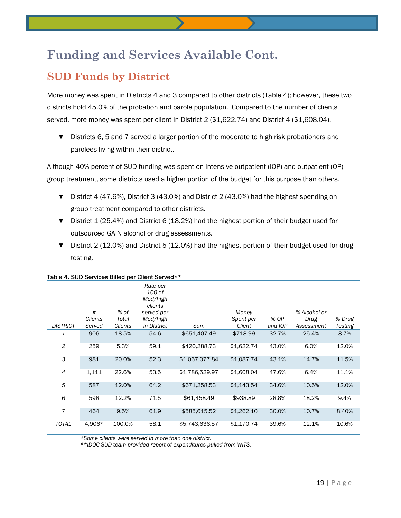### **SUD Funds by District**

More money was spent in Districts 4 and 3 compared to other districts (Table 4); however, these two districts hold 45.0% of the probation and parole population. Compared to the number of clients served, more money was spent per client in District 2 (\$1,622.74) and District 4 (\$1,608.04).

▼ Districts 6, 5 and 7 served a larger portion of the moderate to high risk probationers and parolees living within their district.

Although 40% percent of SUD funding was spent on intensive outpatient (IOP) and outpatient (OP) group treatment, some districts used a higher portion of the budget for this purpose than others.

- ▼ District 4 (47.6%), District 3 (43.0%) and District 2 (43.0%) had the highest spending on group treatment compared to other districts.
- ▼ District 1 (25.4%) and District 6 (18.2%) had the highest portion of their budget used for outsourced GAIN alcohol or drug assessments.
- ▼ District 2 (12.0%) and District 5 (12.0%) had the highest portion of their budget used for drug testing.

|                 |              |                | , apic -1, OOD OOI 11000 DIIIOG por OIIOH, OOI 10G                  |                |                    |         |                      |                |
|-----------------|--------------|----------------|---------------------------------------------------------------------|----------------|--------------------|---------|----------------------|----------------|
|                 | #<br>Clients | % of<br>Total  | Rate per<br>100 of<br>Mod/high<br>clients<br>served per<br>Mod/high |                | Money<br>Spent per | % OP    | % Alcohol or<br>Drug | % Drug         |
| <b>DISTRICT</b> | Served       | <b>Clients</b> | in District                                                         | Sum            | Client             | and IOP | Assessment           | <b>Testing</b> |
| 1               | 906          | 18.5%          | 54.6                                                                | \$651,407.49   | \$718.99           | 32.7%   | 25.4%                | 8.7%           |
| $\overline{c}$  | 259          | 5.3%           | 59.1                                                                | \$420,288.73   | \$1,622.74         | 43.0%   | 6.0%                 | 12.0%          |
| 3               | 981          | 20.0%          | 52.3                                                                | \$1,067,077.84 | \$1,087.74         | 43.1%   | 14.7%                | 11.5%          |
| $\overline{4}$  | 1,111        | 22.6%          | 53.5                                                                | \$1,786,529.97 | \$1,608.04         | 47.6%   | 6.4%                 | 11.1%          |
| 5               | 587          | 12.0%          | 64.2                                                                | \$671,258.53   | \$1,143.54         | 34.6%   | 10.5%                | 12.0%          |
| 6               | 598          | 12.2%          | 71.5                                                                | \$61,458.49    | \$938.89           | 28.8%   | 18.2%                | 9.4%           |
| $\overline{7}$  | 464          | 9.5%           | 61.9                                                                | \$585,615.52   | \$1,262.10         | 30.0%   | 10.7%                | 8.40%          |
| <b>TOTAL</b>    | 4,906*       | 100.0%         | 58.1                                                                | \$5,743,636.57 | \$1,170.74         | 39.6%   | 12.1%                | 10.6%          |

#### Table 4. SUD Services Billed per Client Served\*\*

 *\*Some clients were served in more than one district.*

 *\*\*IDOC SUD team provided report of expenditures pulled from WITS.*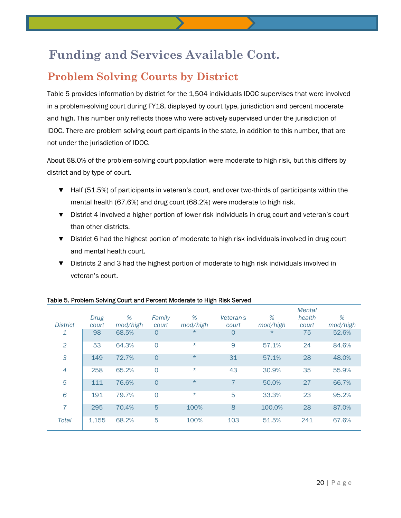### **Problem Solving Courts by District**

Table 5 provides information by district for the 1,504 individuals IDOC supervises that were involved in a problem-solving court during FY18, displayed by court type, jurisdiction and percent moderate and high. This number only reflects those who were actively supervised under the jurisdiction of IDOC. There are problem solving court participants in the state, in addition to this number, that are not under the jurisdiction of IDOC.

About 68.0% of the problem-solving court population were moderate to high risk, but this differs by district and by type of court.

- ▼ Half (51.5%) of participants in veteran's court, and over two-thirds of participants within the mental health (67.6%) and drug court (68.2%) were moderate to high risk.
- ▼ District 4 involved a higher portion of lower risk individuals in drug court and veteran's court than other districts.
- ▼ District 6 had the highest portion of moderate to high risk individuals involved in drug court and mental health court.
- ▼ Districts 2 and 3 had the highest portion of moderate to high risk individuals involved in veteran's court.

|                 |       |          |                |          |           |          | IVIGIIGI |          |
|-----------------|-------|----------|----------------|----------|-----------|----------|----------|----------|
|                 | Drug  | %        | Family         | %        | Veteran's | %        | health   | %        |
| <b>District</b> | court | mod/high | court          | mod/high | court     | mod/high | court    | mod/high |
| 1               | 98    | 68.5%    | $\circ$        | $\star$  | O         | $\star$  | 75       | 52.6%    |
| $\overline{2}$  | 53    | 64.3%    | $\circ$        | $\star$  | 9         | 57.1%    | 24       | 84.6%    |
| 3               | 149   | 72.7%    | $\overline{0}$ | $\star$  | 31        | 57.1%    | 28       | 48.0%    |
| $\overline{4}$  | 258   | 65.2%    | $\overline{0}$ | $\star$  | 43        | 30.9%    | 35       | 55.9%    |
| 5               | 111   | 76.6%    | $\overline{0}$ | $\star$  | 7         | 50.0%    | 27       | 66.7%    |
| 6               | 191   | 79.7%    | $\circ$        | $\star$  | 5         | 33.3%    | 23       | 95.2%    |
| 7               | 295   | 70.4%    | 5              | 100%     | 8         | 100.0%   | 28       | 87.0%    |
| <b>Total</b>    | 1,155 | 68.2%    | 5              | 100%     | 103       | 51.5%    | 241      | 67.6%    |

#### Table 5. Problem Solving Court and Percent Moderate to High Risk Served

*Mental*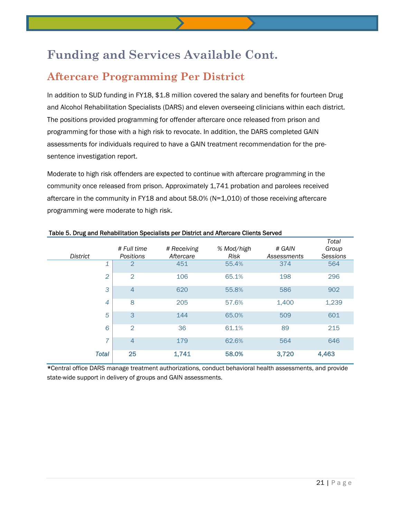### **Aftercare Programming Per District**

In addition to SUD funding in FY18, \$1.8 million covered the salary and benefits for fourteen Drug and Alcohol Rehabilitation Specialists (DARS) and eleven overseeing clinicians within each district. The positions provided programming for offender aftercare once released from prison and programming for those with a high risk to revocate. In addition, the DARS completed GAIN assessments for individuals required to have a GAIN treatment recommendation for the presentence investigation report.

Moderate to high risk offenders are expected to continue with aftercare programming in the community once released from prison. Approximately 1,741 probation and parolees received aftercare in the community in FY18 and about 58.0% (N=1,010) of those receiving aftercare programming were moderate to high risk.

|                | # Full time      | # Receiving |                    | # GAIN      | Total<br>Group |
|----------------|------------------|-------------|--------------------|-------------|----------------|
| District       | <b>Positions</b> | Aftercare   | % Mod/high<br>Risk | Assessments | Sessions       |
| 1              | $\overline{2}$   | 451         | 55.4%              | 374         | 564            |
| $\overline{2}$ | $\overline{2}$   | 106         | 65.1%              | 198         | 296            |
| 3              | $\overline{4}$   | 620         | 55.8%              | 586         | 902            |
| 8<br>4         |                  | 205         | 57.6%              | 1,400       | 1,239          |
| 3<br>5         |                  | 144         | 65.0%              | 509         | 601            |
| 6              | $\overline{2}$   | 36          | 61.1%              | 89          | 215            |
| $\overline{7}$ | $\overline{4}$   | 179         | 62.6%              | 564         | 646            |
| <b>Total</b>   | 25               | 1,741       | 58.0%              | 3,720       | 4,463          |

#### Table 5. Drug and Rehabilitation Specialists per District and Aftercare Clients Served

\*Central office DARS manage treatment authorizations, conduct behavioral health assessments, and provide state-wide support in delivery of groups and GAIN assessments.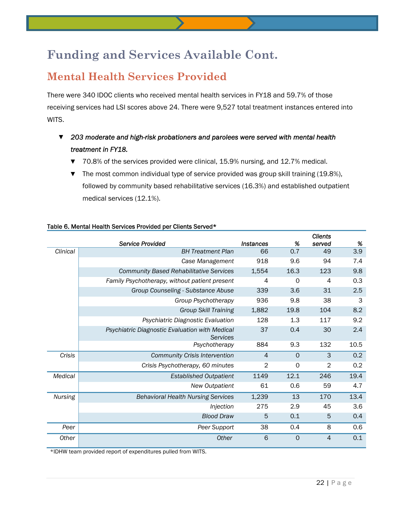### **Mental Health Services Provided**

There were 340 IDOC clients who received mental health services in FY18 and 59.7% of those receiving services had LSI scores above 24. There were 9,527 total treatment instances entered into WITS.

- ▼ *203 moderate and high-risk probationers and parolees were served with mental health treatment in FY18.* 
	- ▼ 70.8% of the services provided were clinical, 15.9% nursing, and 12.7% medical.
	- ▼ The most common individual type of service provided was group skill training (19.8%), followed by community based rehabilitative services (16.3%) and established outpatient medical services (12.1%).

|                |                                                            |                |          | <b>Clients</b> |      |
|----------------|------------------------------------------------------------|----------------|----------|----------------|------|
|                | <b>Service Provided</b>                                    | Instances      | %        | served         | %    |
| Clinical       | <b>BH Treatment Plan</b>                                   | 66             | 0.7      | 49             | 3.9  |
|                | Case Management                                            | 918            | 9.6      | 94             | 7.4  |
|                | <b>Community Based Rehabilitative Services</b>             | 1,554          | 16.3     | 123            | 9.8  |
|                | Family Psychotherapy, without patient present              | 4              | $\Omega$ | 4              | 0.3  |
|                | Group Counseling - Substance Abuse                         | 339            | 3.6      | 31             | 2.5  |
|                | Group Psychotherapy                                        | 936            | 9.8      | 38             | 3    |
|                | <b>Group Skill Training</b>                                | 1,882          | 19.8     | 104            | 8.2  |
|                | Psychiatric Diagnostic Evaluation                          | 128            | 1.3      | 117            | 9.2  |
|                | Psychiatric Diagnostic Evaluation with Medical<br>Services | 37             | 0.4      | 30             | 2.4  |
|                | Psychotherapy                                              | 884            | 9.3      | 132            | 10.5 |
| Crisis         | <b>Community Crisis Intervention</b>                       | $\overline{4}$ | $\Omega$ | 3              | 0.2  |
|                | Crisis Psychotherapy, 60 minutes                           | $\overline{2}$ | 0        | $\overline{2}$ | 0.2  |
| Medical        | <b>Established Outpatient</b>                              | 1149           | 12.1     | 246            | 19.4 |
|                | <b>New Outpatient</b>                                      | 61             | 0.6      | 59             | 4.7  |
| <b>Nursing</b> | <b>Behavioral Health Nursing Services</b>                  | 1,239          | 13       | 170            | 13.4 |
|                | Injection                                                  | 275            | 2.9      | 45             | 3.6  |
|                | <b>Blood Draw</b>                                          | 5              | 0.1      | 5              | 0.4  |
| Peer           | Peer Support                                               | 38             | 0.4      | 8              | 0.6  |
| Other          | Other                                                      | 6              | $\Omega$ | $\overline{4}$ | 0.1  |

#### Table 6. Mental Health Services Provided per Clients Served\*

\*IDHW team provided report of expenditures pulled from WITS.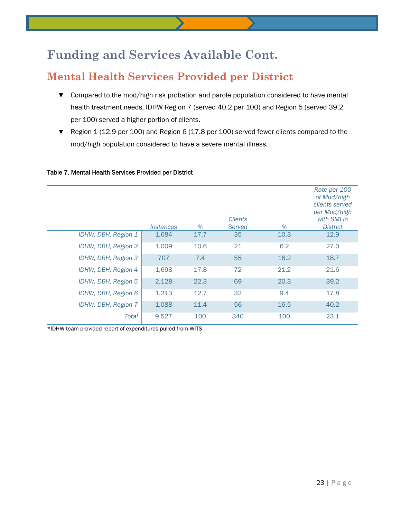### **Mental Health Services Provided per District**

- ▼ Compared to the mod/high risk probation and parole population considered to have mental health treatment needs, IDHW Region 7 (served 40.2 per 100) and Region 5 (served 39.2 per 100) served a higher portion of clients.
- ▼ Region 1 (12.9 per 100) and Region 6 (17.8 per 100) served fewer clients compared to the mod/high population considered to have a severe mental illness.

|                     | <i><b>Instances</b></i> | %    | <b>Clients</b><br>Served | %    | Rate per 100<br>of Mod/high<br>clients served<br>per Mod/high<br>with SMI in<br><b>District</b> |
|---------------------|-------------------------|------|--------------------------|------|-------------------------------------------------------------------------------------------------|
| IDHW, DBH, Region 1 | 1,684                   | 17.7 | 35                       | 10.3 | 12.9                                                                                            |
| IDHW, DBH, Region 2 | 1,009                   | 10.6 | 21                       | 6.2  | 27.0                                                                                            |
| IDHW, DBH, Region 3 | 707                     | 7.4  | 55                       | 16.2 | 18.7                                                                                            |
| IDHW, DBH, Region 4 | 1,698                   | 17.8 | 72                       | 21.2 | 21.6                                                                                            |
| IDHW, DBH, Region 5 | 2,128                   | 22.3 | 69                       | 20.3 | 39.2                                                                                            |
| IDHW, DBH, Region 6 | 1,213                   | 12.7 | 32                       | 9.4  | 17.8                                                                                            |
| IDHW, DBH, Region 7 | 1,088                   | 11.4 | 56                       | 16.5 | 40.2                                                                                            |
| Total               | 9,527                   | 100  | 340                      | 100  | 23.1                                                                                            |

#### Table 7. Mental Health Services Provided per District

\*IDHW team provided report of expenditures pulled from WITS.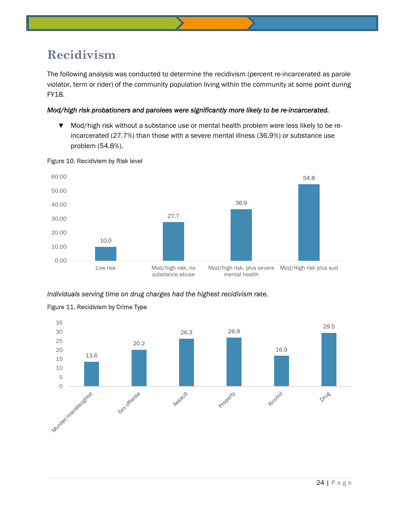### **Recidivism**

The following analysis was conducted to determine the recidivism (percent re-incarcerated as parole violator, term or rider) of the community population living within the community at some point during FY18.

#### *Mod/high risk probationers and parolees were significantly more likely to be re-incarcerated.*

▼ Mod/high risk without a substance use or mental health problem were less likely to be reincarcerated (27.7%) than those with a severe mental illness (36.9%) or substance use problem (54.8%).



#### Figure 10. Recidivism by Risk level

*Individuals serving time on drug charges had the highest recidivism rate.* 



#### Figure 11. Recidivism by Crime Type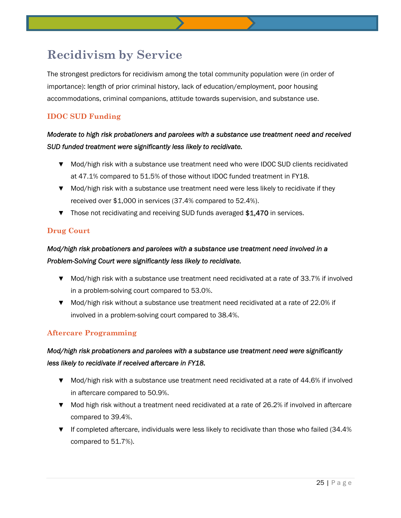### **Recidivism by Service**

The strongest predictors for recidivism among the total community population were (in order of importance): length of prior criminal history, lack of education/employment, poor housing accommodations, criminal companions, attitude towards supervision, and substance use.

#### **IDOC SUD Funding**

#### *Moderate to high risk probationers and parolees with a substance use treatment need and received SUD funded treatment were significantly less likely to recidivate.*

- ▼ Mod/high risk with a substance use treatment need who were IDOC SUD clients recidivated at 47.1% compared to 51.5% of those without IDOC funded treatment in FY18.
- ▼ Mod/high risk with a substance use treatment need were less likely to recidivate if they received over \$1,000 in services (37.4% compared to 52.4%).
- ▼ Those not recidivating and receiving SUD funds averaged \$1,470 in services.

#### **Drug Court**

#### *Mod/high risk probationers and parolees with a substance use treatment need involved in a Problem-Solving Court were significantly less likely to recidivate.*

- ▼ Mod/high risk with a substance use treatment need recidivated at a rate of 33.7% if involved in a problem-solving court compared to 53.0%.
- ▼ Mod/high risk without a substance use treatment need recidivated at a rate of 22.0% if involved in a problem-solving court compared to 38.4%.

#### **Aftercare Programming**

#### *Mod/high risk probationers and parolees with a substance use treatment need were significantly less likely to recidivate if received aftercare in FY18.*

- ▼ Mod/high risk with a substance use treatment need recidivated at a rate of 44.6% if involved in aftercare compared to 50.9%.
- ▼ Mod high risk without a treatment need recidivated at a rate of 26.2% if involved in aftercare compared to 39.4%.
- $\blacktriangledown$  If completed aftercare, individuals were less likely to recidivate than those who failed (34.4%) compared to 51.7%).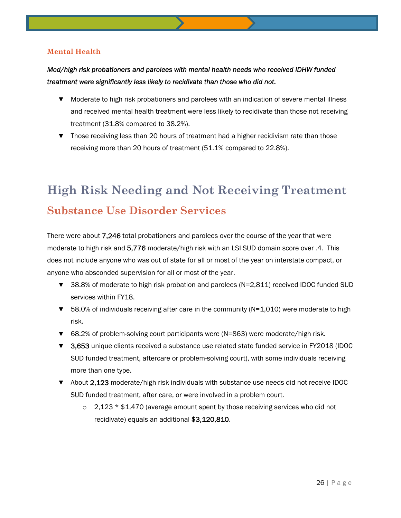#### **Mental Health**

#### *Mod/high risk probationers and parolees with mental health needs who received IDHW funded treatment were significantly less likely to recidivate than those who did not.*

- ▼ Moderate to high risk probationers and parolees with an indication of severe mental illness and received mental health treatment were less likely to recidivate than those not receiving treatment (31.8% compared to 38.2%).
- ▼ Those receiving less than 20 hours of treatment had a higher recidivism rate than those receiving more than 20 hours of treatment (51.1% compared to 22.8%).

# **High Risk Needing and Not Receiving Treatment Substance Use Disorder Services**

There were about 7,246 total probationers and parolees over the course of the year that were moderate to high risk and 5,776 moderate/high risk with an LSI SUD domain score over .4. This does not include anyone who was out of state for all or most of the year on interstate compact, or anyone who absconded supervision for all or most of the year.

- ▼ 38.8% of moderate to high risk probation and parolees (N=2,811) received IDOC funded SUD services within FY18.
- $\blacktriangledown$  58.0% of individuals receiving after care in the community (N=1,010) were moderate to high risk.
- ▼ 68.2% of problem-solving court participants were (N=863) were moderate/high risk.
- ▼ 3,653 unique clients received a substance use related state funded service in FY2018 (IDOC SUD funded treatment, aftercare or problem-solving court), with some individuals receiving more than one type.
- ▼ About 2,123 moderate/high risk individuals with substance use needs did not receive IDOC SUD funded treatment, after care, or were involved in a problem court.
	- $\circ$  2,123  $*$  \$1,470 (average amount spent by those receiving services who did not recidivate) equals an additional \$3,120,810.